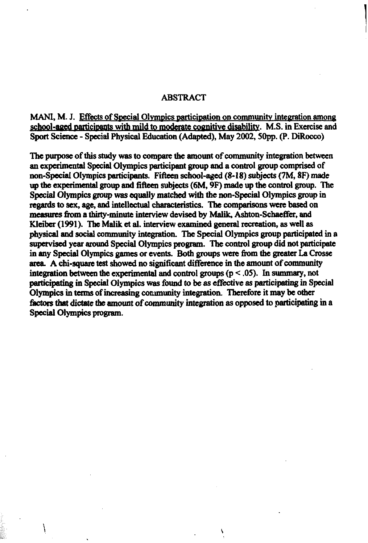#### ABSTRACT

**MANI, M. J.** Effects of Special Olympics participation on community integration among school-aged participants with mild to moderate cognitive disability. M.S. in Exercise and Sport Science - Special Physical Education (Adapted), **May 2002, SOpp.** (P. **DiRocco)** 

The purpose of this study was to compare the amount of community integration between an **eqcrimental** ~pecialblympics pakipant **group and a** control &up **bmprised** of non-Special Olympics participants. Fifteen school-aged **(8-18)** subjects **(7M. 8F)** made up the experimental group and fifteen subjects (6M, 9F) made up the control group. The Special Olympics group was equally matched with the non-Special Olympics group in regards to sex, age, and intellectual characteristics. The comparisons were based on **measures from a thixty-minute** interview **devised** by **hWk,** Ashton-Schacffcr, **and**  Kleiber (1991). The Malik et al. interview examined general recreation, as well as physical and social community integration. The Special Olympics group participated in a **supervised year muad** Special Olympics program. **The** control **group did** not participate in any Special Olympics games or events. Both groups were from the greater La Crosse **area.** A chi-square test showed no significant difference in **the** amount of community integration between the experimental and control groups  $(p < .05)$ . In summary, not participating in Special Olympics was found to be as effective as participating in Special Olympics in **tams** of **Mig** community integration Therefore it **may** be other factors that dictate the amount of community integration as opposed to participating in a special Olympics program.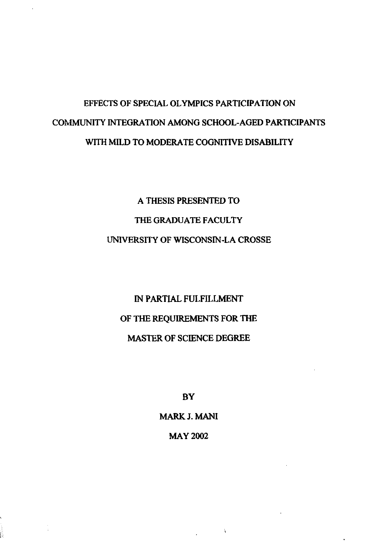# **EFFECTS OF SPECIAL OLYMPICS PARTICIPATION ON COMMUNITY INTEGRATION AMONG SCHOOL-AGED PARTICIPANTS WITH MILD TO MODERATE COGNITIVE DISABILITY**

# **A THESIS PRESENTED TO THE GRADUATE FACULTY UNIVERSITY OF WISCONSIN-LA CROSSE**

# **IN PARTIAL FULFILLMENT OF THE REQUIREMENTS FOR THE MASTER OF SCIENCE DEGREE**

**BY** 

**MARK J. MAN1 MAY 2002** 

 $\mathcal{A}$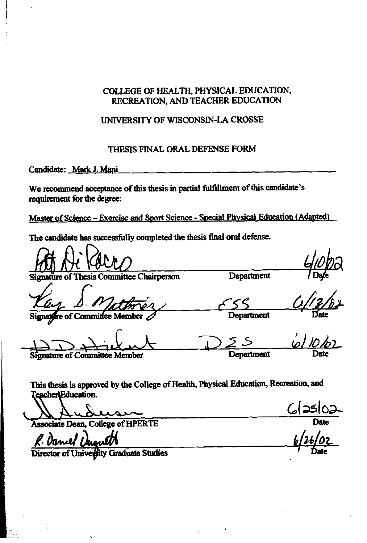## **COLLEGE OF HEALTH, PHYSICAL EDUCATION, RECREATION, AND TEACHER EDUCATION**

## UNIVERSITY OF WISCONSIN-LA CROSSE

### **THESIS FINAL ORAL DEFENSE FORM**

Candidate: Mark J. Mani

**We recommend acceptance of this thesis in partial fulfillment of this candidate's requirement for the degne:** 

Master of Science - Exercise and Sport Science - Special Physical Education (Adapted)

**The candidate has successIIly completed the thesis final oral defense.** 

Department hesis Committee Chairperson \\> & <sup>32</sup>*5. A/~D/OL* / **sigasnat of** Coinmitta **Member -t Date** 

This thesis is approved by the College of Health, Physical Education, Recreation, and Teacher Education.

<u>GIOLANDERS</u>

**Associate Dean, College of HPERTE** Date

R. Daniel The

Director of University Graduate Studies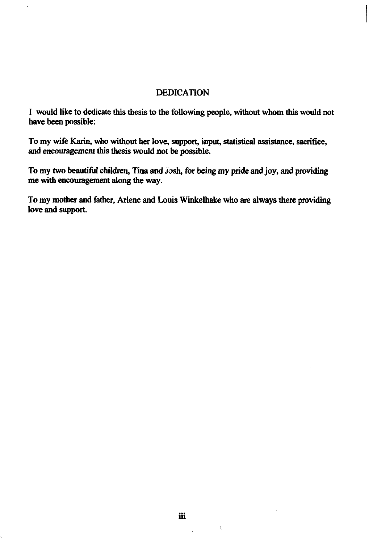### **DEDICATION**

I would like to dedicate this thesis to the following people, without whom this would not have been possible:

To my wife Karin, who without her love, support, input, statistical assistance, sacrifice, and encouragement this thesis would not be possible.

To my two beautiful children, Tina and Josh, for being my pride and joy, and providing me with encouragement along the way.

To my mother and father, Arlene and Louis Winkelhake who are always there providing love and support.

 $\ddot{\phantom{a}}$ 

!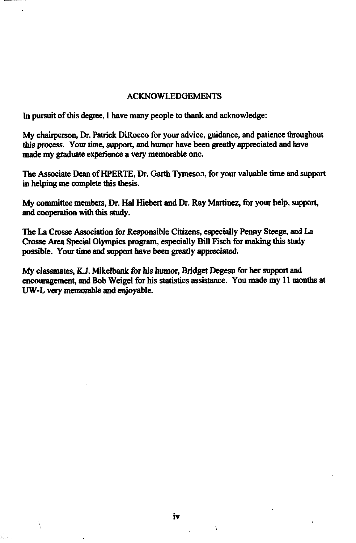#### ACKNOWLEDGEMENTS

In pursuit of this degree, I have many people to thank and acknowledge:

My chairperson, Dr. Patrick DiRocco for your advice, guidance, and patience throughout this process. Your time, support, and humor have been greatly appreciated and have made my graduate experience a very memorable one.

**The** Associate **Dean** of HPERTE, Dr. **Garth** Tymeso.?, for your valuable time and support in helping me complete this thesis.

My **committee membem,** Dr. Hal Hiebert and Dr. Ray Martinez, for your help, support, and cooperation with this study.

**The** La **Crosse** Association for Responsible Citizens, especially Penny **Steege, and** La Crosse **Area** Special Olympics program, especially Bill Fisch for making this **study**  possible. Your time **and** support have been greatly appreciated.

My classmates, KJ. Mikelbank for his humor, Bridget Degesu for her support **and encouragement,** and Bob Weigel for his statistics assistance. You made my 11 months at UW-L very memorable and enjoyable.

 $\bar{\lambda}$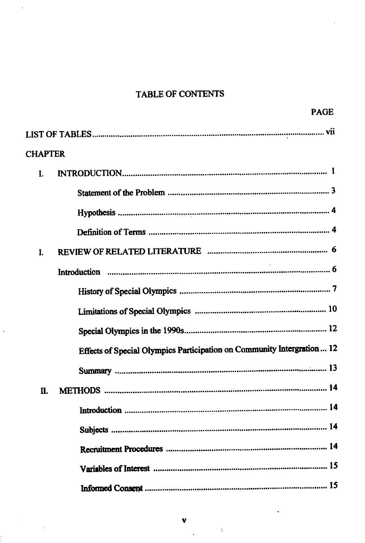# TABLE OF CONTENTS

| <b>CHAPTER</b> |                                                                         |
|----------------|-------------------------------------------------------------------------|
| I.             |                                                                         |
|                |                                                                         |
|                |                                                                         |
|                |                                                                         |
| L              |                                                                         |
|                |                                                                         |
|                |                                                                         |
|                |                                                                         |
|                |                                                                         |
|                | Effects of Special Olympics Participation on Community Intergration  12 |
|                |                                                                         |
| Π.             |                                                                         |
|                |                                                                         |
|                |                                                                         |
|                |                                                                         |
|                |                                                                         |
|                |                                                                         |

 $\cdot$ 

 $\Delta$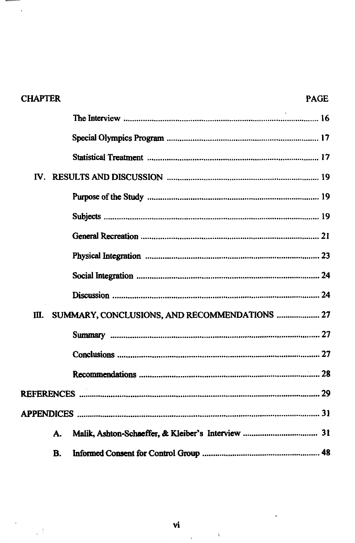| <b>CHAPTER</b>    |                                               | <b>PAGE</b> |
|-------------------|-----------------------------------------------|-------------|
|                   |                                               |             |
|                   |                                               |             |
|                   |                                               |             |
| ${\bf W}_{\rm e}$ |                                               |             |
|                   |                                               |             |
|                   |                                               |             |
|                   |                                               |             |
|                   |                                               |             |
|                   |                                               |             |
|                   |                                               |             |
| Ш.                | SUMMARY, CONCLUSIONS, AND RECOMMENDATIONS  27 |             |
|                   |                                               |             |
|                   |                                               |             |
|                   |                                               |             |
|                   |                                               |             |
|                   |                                               |             |
| А.                |                                               |             |
| <b>B.</b>         |                                               |             |

ł

 $\epsilon^{\frac{1}{2}}$ 

l,

 $\hat{\lambda}$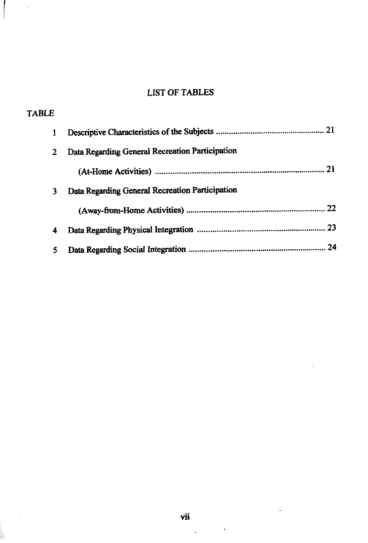# **LIST OF TABLES**

 $\sim$ 

| <b>TABLE</b> |                                                 |
|--------------|-------------------------------------------------|
| 1            |                                                 |
| 2            | Data Regarding General Recreation Participation |
|              |                                                 |
| 3            | Data Regarding General Recreation Participation |
|              |                                                 |
| 4            |                                                 |
| 5.           | 24                                              |

 $\ddot{\phantom{a}}$ 

 $\sim$  k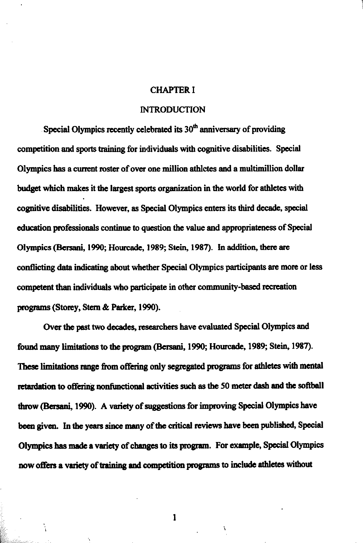#### CHAPTER I

#### **INTRODUCTION**

Special Olympics recently celebrated its 30<sup>th</sup> anniversary of providing competition **and sports** training for individuals with cognitive disabilities. Special Olympics has a current mster of over one million athletes **and** a multimillion dollar budget which makes it **the** largest **sports** organization in the world for athletes with cognitive disabilities. However, **as** Special Olympics **enters** its third decade, special education professionals continue to question the value and appropriateness of Special Olympics (Bersani, 1990; Hourcade, 1989; Stein, 1987). In addition, there are conflicting **data** indicating **about** whether Special Olympics participants are more or less competent than individuals who participate in other community-based recreation programs (Storey, Stern & Parker, 1990).

Over the past two decades, researchers have evaluated Special Olympics and found many limitations to the program (Bersani, 1990; Hourcade, 1989; Stein, 1987). I hese limitations range from offering only segregated programs for athletes with mental retardation to offering nonfunctional activities such as the 50 meter dash and the softball **throw** *(Bersani, 1990).* A variety of suggestions for improving Special Olympics have been given. In the years since many of the critical reviews have been published, Special Olympics has made a variety of changes to its **prognun.** For example, Special Olympics mw offen a variety of training **and competition** progmm to include **athletes** without

 $\mathbf{1}$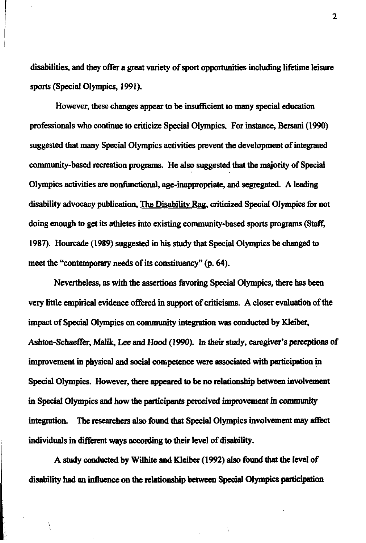disabilities, and they offer a great variety of sport opportunities including lifetime leisure sports (Special Olympics, 1991).

However, **these** changes appear **to** be insufficient to many special education professionals who continue to criticize Special Olympics. For instance, **Bersani** (1990) suggested that many Special Olympics activities prevent the development of integrated community-based recreation programs. He also suggested **that** the majority of Special Olympics activities **an** nonfunctional, age-inappropriate, and **segregated.** A leading disability advocacy publication, **The** Disabilitv Rag, criticized Special Olympics for not doing enough to **get** its athletes into existing community-based sports programs (Staff, 1987). Hourcade (1989) suggested in his study **that** Special Olympics be changed to meet the "contemporary needs of its constituency" (p. 64).

Nevertheless, as with the assertions favoring Special Olympics, there has been very little empirical evidence offered in support of criticisms. A closer evaluation of the impact of Special Olympics on community integration was conducted by **Kleiber,**  Ashton-Schaeffa, *Malik,* Lee **and** Hood **(1990).** In their study, caregiver's perceptions of improvement in physical and social competence were associated with participation in Special Olympics. However, there appeared to be no relationship between involvement in Special Olympics and **how thc** participants pcrccived improvement in **community**  integration. The researchers also found that Special Olympics involvement may affect individuals in **different** ways according to their level of **disability.** 

A study **conducted** by Wilbite and **Kleiber** (1992) **also** found **that the** level of **disability** had an influence on **the** relationship between Special Olympics pdcipation  $\overline{2}$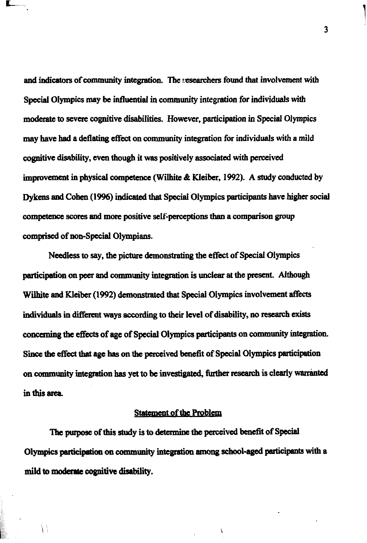and indicators of community integration. The *i*, esearchers found that involvement with Special Olympics may be influential in community integration for individuals with moderate to severe cognitive disabilities. However, participation in Special Olympics may have had a deflating effect on community integration for individuals with a mild cognitive disability, even though it was positively associated with perceived improvement in **physical** competence **(Wilbite** & Kleiber, 1992). **A study conductad** by Dykens and Cohen (1996) indicated that Special Olympics participants have higher social competence scans **and mon** positive se1f-percqdions than a comparison group **comprised** of non-Special Olympians.

Needless to say, the picture demonstrating the effect of Special Olympics participation on **pea** and community integration is unclear at the **present.** Although Wilhite and Kleiber (1992) demonstrated that Special Olympics involvement affects individuals in different ways according to their level of disability, no research exists concerning the effects of age of Special Olympics participants on community integration. Since the effect that age has on the perceived benefit of Special Olympics participation **on community** integration **has yet** to be investigated, finzher **rtsearch** is clearly **wananted**  in this area.

#### **Statement of the Problem**

The pwpose of this study is **to** determine **the** perceived benefit of Special Olympics participation **on** community integration **amwg** school-aged participcmts with a mild **to modaue cqpitive** disability.

ł,

 $\left\{ \cdot \right\}$ 

 $\overline{\mathbf{3}}$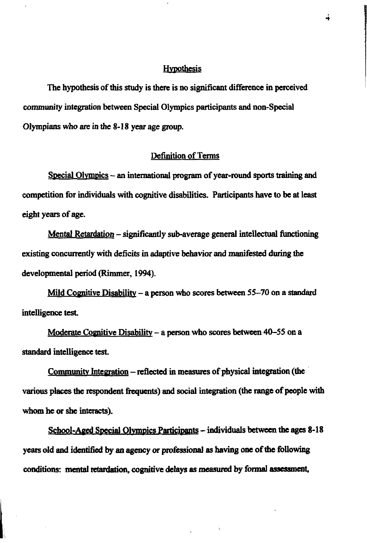#### **Hypothesis**

The hypothesis of this study is there is no significant difference in perceived community integration between Special Olympics participants and non-Special Olympians who are in the 8-18 year age group.

### **Definition of Terms**

Special Olympics – an international program of year-round sports training and competition for individuals with cognitive disabilities. Participants have to be at least eight years of age.

Mental Retardation – significantly sub-average general intellectual functioning existing concurrently with deficits in adaptive behavior and manifested during the developmental period (Rimmer, 1994).

Mild Cognitive Disability – a person who scores between  $55-70$  on a standard intelligence test.

Moderate Cognitive Disability - a person who scores between 40-55 on a standard intelligence test.

Community Integration – reflected in measures of physical integration (the various places the respondent frequents) and social integration (the range of people with whom he or she interacts).

School-Aged Special Olympics Participants – individuals between the ages 8-18 years old and identified by an agency or professional as having one of the following conditions: mental retardation, cognitive delays as measured by formal assessment,

ţ.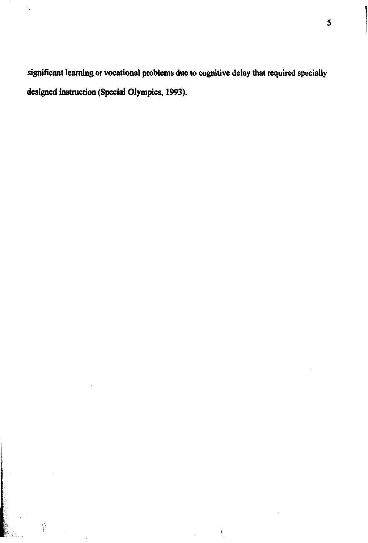**sigaificant learning or vocational problems due to cognitive delay that required specially designed instruction (Special Olympics, 1993).** 

 $\sum_{i=1}^{n}$ 

 $\ddot{\phantom{a}}$ 

 $\bar{p}$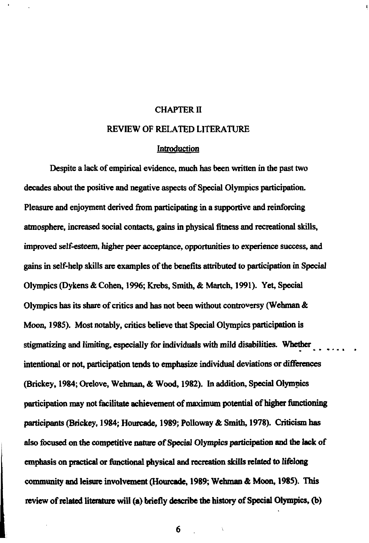#### **CHAPTER I1**

#### **REVIEW** OF **RELATED LITERATURE**

#### **Introduction**

Despite a lack of empirical evidence, much has been written in the past **two**  decades about the positive and negative aspects of Special Olympics participation. Pleasure and enjoyment derived from participating in a supportive and reinforcing atmosphere, increased social contacts, gains in physical fitness and recreational skills, improved self-esteem, higher **peer** acceptance, opportunities to experience **success, and**  gains in self-help skills **arc** examples of **the benefits attributed** to participation in Special Olympics Oykens & Cohen, **1996,** Krebs, Smith, & **Martch, 1991). Yet,** Special Olympics has its share of critics and has not been without controversy (Wehman & **Moon, 1985).** Most notably, critics believe that Special Olympics participation is stigmatizing and limiting, especially for individuals with mild disabilities. Whether intentional or not, participation tends to emphasize individual deviations or differences (Brickey, **1984,** Orelove, Wehman, & Wood, **1982).** In addition, Special Olympics participation may not **Witate** achievement of **maximum** potential of **higher Iimctioning**  participants (Brickey, **1984, Hwrcade, 1989;** Polloway & Smith, **1978).** Criticism has **also** focused on **the** competitive **mtw** of Special Olympics participation **aod** the lack of emphasis on **practical or** limctional physical **and** don **skills related to m1ong**  community **and** leisure involvement (HOW, **1989;** Wehmao & **Moon, 1985).** This review of related literature will (a) briefly describe the history of Special Olympics, **(b)**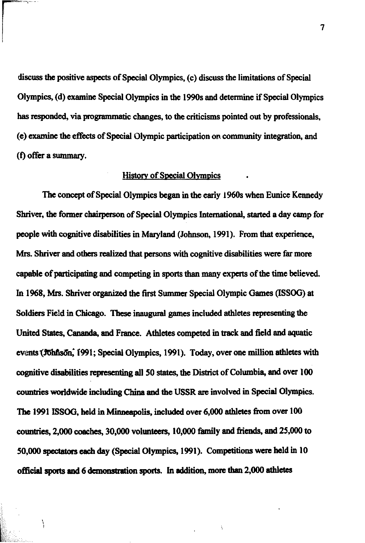discuss **the** positive aspects of Special Olympics, (c) discuss **the** limitations of Special Olympics, (d) examine Special Olympics in **the** 1990s and determine if Special Olympics **has** responded, via progmmmtic changes, to **the** criticisms pointed out by professionals, (e) **mamine the** effects of Special Olympic participation on community integration, and (f) offer a summary.

#### **History of Special Olympics**

**The** concept of Special Olympics **began** in **the** early **1% when** Eunice Kenaedy Shriver, **the** former chairperson of Special Olympics International, started a day camp for people **with** cognitive disabiiities in Maryland (Johnson, 1991). From that experience, Mrs. Shriver and others realized that persons with cognitive disabilities were far more capable of participating and competing in sports than many experts of the time believed. In 1%8, Mrs. Shriver organized **the first** Summer Special Olympic **Games** (ISSOG) at **Soldiers Field in Chicago. These inaugural games included athletes representing the** United States, **Cananda,** and **Frame.** Athletes competed in **track** and field and aquatic **events~~n~** 1991; Special Olympics, 1991). Today, over one million **athletes** with cognitive dkhilities rrpresenting all 50 **statcs, the District** of Columbia, **and** over 100 **countries worldwide** including China **and the** USSR are involved in Special Olympics. **The 1991 ISSOG, held in Minneapolis, included over 6,000 athletes from over 100** countries, 2,000 coeches, *30,000* volunteers, 10,000 **family** and friends, **and** 25,000 to 50,000 qcchtom **each day** (Special Olympics, 1991). Competitions **were** held in 10 **official sports md** 6 dcwmstrcltion **spoa.** In addition, **more** than 2,000 **athletes** 

Â.

ļ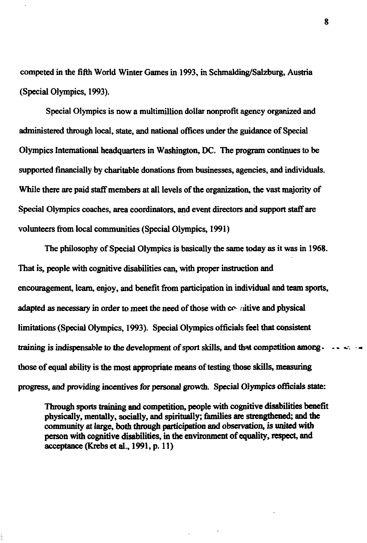competed in the fifth World Winter Games in 1993, in Schmalding/Salzburg, Austria (Special Olympics, 1993).

Special Olympics is now a multimillion dollar nonprofit agency organized and **administered** through local, state, and national offices under the guidance of Special Olympics International headquarters in Washington, **DC.** The pmgram continues to be supported financially by charitable donations from businesses, agencies, and individuals. While there are paid staff members at all levels of the organization, the vast majority of Special Olympics coaches, area coordinators, and event directors and support staff are volunteers from local communities (Special Olympics, 1991)

The philosophy of Special Olympics is basically the same today **as** it **was** in **1968.**  That is, people with cognitive disabilities **can,** with **proper** instruction and encouragement, learn, enjoy, and benefit from participation in individual and team sports, **adapted as necessary** in order to meet the need of those with **ccr.** riitive and physical limitations (Special Olympics, 1993). Special Olympics officials feel that consistent training is indispensable to the development of sport skills, and that competition among.  $\cdots$ those of equal ability is **the** most **appmpriate means** of **testing** those fils, **measuring progress,** and providing incentives for **personal growth.** Special Olympics officials **state:** 

Tlnough **sports** training **aad** competition, people with cognitive disabilities benefit physically, mentally, socially, and spiritually; families are strengthened; and the community at large, both through participation and observation, is united with person with cognitive disabiities, in **the** environment of equality, respect, and acceptance **(Krcbs ct al.,** 1991, p. 11)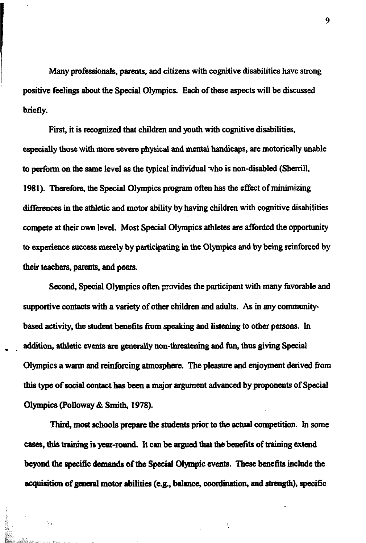Many professionals, parents, and citizens with cognitive disabilities have strong positive feelings about the Special Olympics. Each of these aspects will be discussed briefly.

First, it is recognized that children and youth with cognitive disabilities, especially those with more severe physical and mental handicaps, are motorically unable to perform on **the same** level **as** the typical individual -vho is non-disabled (Shcnill, **1981).** Therefore, the Special Olympics program often has the effect of minimizing differences in the athletic and motor ability by having children with cognitive disabilities compete at their own level. Most Special Olympics athletes are afforded the opportunity to experience success merely by participating in the Olympics and by being reinforced by their teachers, parents, and **peers.** 

Second, Special Olympics often provides the participant with many favorable and supportive contacts with a variety of other children and adults. **As** in any communitybased activity, the student benefits from speaking and listening to other persons. In addition, athletic events are generally non-threatening and fun, thus giving Special Olympics a warm and reinforcing atmosphere. **The** pleasure and enjoyment derived **from**  this **type** of social contact has **been** a major argument advanced by proponents of Special Olympics (Polloway & Smith, **1978).** 

**Third,** most **schools** *prepare* the students prior **to** the actual competition. In some cases, this training is year-round. It can be argued that the benefits of training extend **beyond the specific demands of the Special Olympic events. These benefits include the @tion** of **genarl motor abilitier** (e.g.. balance, **coo~on, and strength),** specific

Í.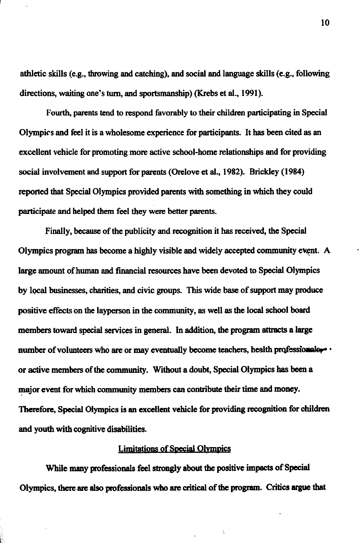athletic skills (e.g., throwing and catching), and social and language skills (e.g., following directions, waiting one's **turn,** and sportsmanship) **(Krebs** et al., 1991).

Fourth, parents tend to respond favorably to their children participating in Special Olympics and feel it is a wholesome experience for participants. It has been cited **as** an excellent vehicle for promoting more active school-home relationships and for providing social involvement and support for parents (Orelove **et** al., 1982). Brickley (1984) reported that Special Olympics provided parents with something in which they could participate and helped them feel they were **better** parents.

Finally, **because** of the publicity and recognition it has received, **the** Special Olympics program has become a highly visible and widely accepted community event. A large amount of human and financial resources have been devoted to Special Olympics by local businesses, charities, and civic groups. This wide base of support may produce positive effects on the layperson in the community, as well **as the** local school **board**  members toward special services in general. In addition, **the** program **attracts** a large number of volunteers who are or may eventually become teachers, health **professionalgy**. or active members of **the** community. Without a doubt, Special Olympics **has** been a major event for which community members can contribute their time and money. Therefore, Special Olympics is an excellent vehicle for providing recognition for children and youth with cognitive disabilities.

#### Limitations of Special Olympics

While many professionals feel strongly **about the** positive **impects** of Special Olympics, **there are elso** professionals who **are** critical of **the** program. Critics **argue that** 

Ä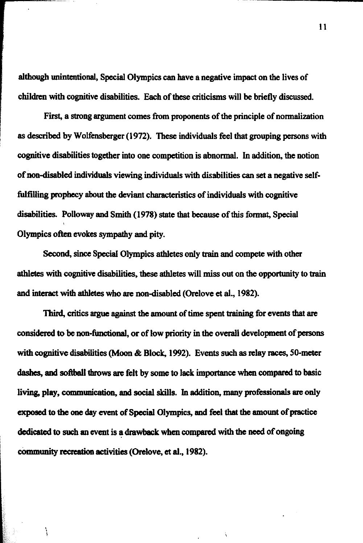although unintentional, Special Olympics can have a negative impact on the lives of children with cognitive disabiities. Each of these criticisms will be briefly discussed.

First, a strong argument comes from proponents of the principle of normalization as described by Wolfensberger (1972). **These** individuals feel that grouping **persons** with cognitive disabilities together into one competition is abnormal. In addition, the notion of non-disabled individuals viewing individuals with disabilities can set a negative selffulfilling prophecy about the deviant characteristics of individuals with cognitive disabilities. Polloway and Smith (1978) **state** that **because** of this format, Special Olympics often evokes sympathy and pity.

**Second,** since Special Olympics athletes only train and compete with other athletes with cognitive disabilities, these athletes will **miss** out on the opportunity to train and interact with athletes who are non-disabled (Orelove et al., 1982).

Third, critics **argue against the** amount of time spent training for events that **are**  considered to be non-functional, or of low priority in the overall development of persons with cognitive disabilities (Moon & Block, 1992). Events such as relay races, 50-meter dashes, and softball throws are felt by some to lack importance when compared to basic **living,** play, **communication,** and social skills. In addition, many professionals **are** only **exposed** to the **one** day event of Special Olympics, and feel that **the** amount of **practice**  dedicated to such **an** event is a drawback **when** compared with the **need** of ongoing community recreation activities (Orelove, et al., 1982).

Ì.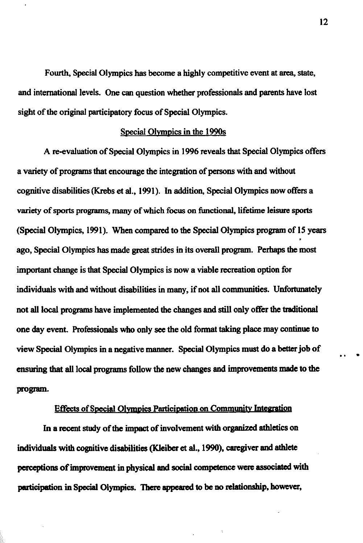Fourth, Special Olympics has become a highly competitive event at **area, state,**  and international levels. One can question whether professionals and parents have lost sight of the original participatory focus of Special Olympics.

#### Special Olympics in the 1990s

**A** re-evaluation of Special Olympics in 1996 reveals that Special Olympics offers a variety of programs that encourage the integration of **persons** with and without cognitive disabilities **(Krebs et** al., 1991). In addition, Special Olympics now offers a variety of sports programs, many of which focus on functional, lifetime leisure sports (Special Olympics, 1991). **When** compared to the Special Olympics program of 15 years ago, Special Olympics **has** made **great** strides in its overall program. Perhaps the most important change is that Special Olympics is now a viable recreation option for individuals with and **without** disabilities in many, if not all communities. Unfortunately not all local programs have implemented the changes and still only offer the tmditional one day event. Rofesionals who only **sce** the old format taking place **may** continue to view Special Olympics in a negative manner. Special Olympics must do a better job of ensuring that all local programs follow the new changes and improvements made to the program. 12<br>urth, Special Olympics has become a highly competitive event at area, state,<br>ational levels. One can question whether professionals and parents have lost<br>original participatory focus of Special Olympics.<br>Special Olympic

In a recent study of the impact of involvement with organized athletics on individuals with cognitive disabilities (Kleiber **et al.,** 1990), **cangiver** and athlete **eons** of **improvement** in physical and social competence **wen associated** with participation in Special Olympics. There appeared to be no relationship, however,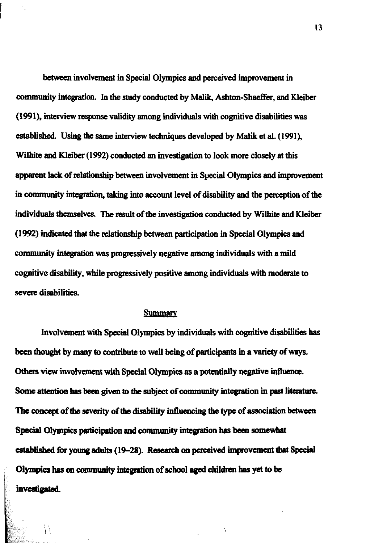**between** involvement in Special Olympics and perceived impmvement in community integration. In the study conducted by Malik, Ashton-Shaeffer, and Kleiber **(1991),** interview **response** validity among individuals with cognitive disabilities **was established.** Using the same interview techniques developed by Malik et al. (1991), Wilhite **and Klciber** (1992) conducted an investigation to look more closely at this apparent **lack** of relationship between involvement in Special Olympics and improvement in community integration, taking into account level of disability and the perception of **the**  individuals themselves. The result of the investigation conducted by Wilhite and Kleiber (1 992) indicated that **the** relationship between participation in Special Olympics and community integration was progressively negative among individuals with a mild cognitive disability, while progressively positive among individuals with moderate to severe disabilities.

#### **Summarv**

Involvement with Special Olympics by individuals with cognitive disabilities has **been** thought by **many** to contribute to well being of participants in a variety of **ways.**  Others view involvement with Special Olympics as a potentially negative influence. Some attention has been given to the subject of community integration in past literature. The concept of the severity of the disability influencing the type of association between **Special** Olympics participation **and** community integration **hrs** been somewhat **established for young adults (19-28). Research on perceived improvement that Special** Olympics has on community integration of school aged children has yet to be investigated.

Ň

I

Ħ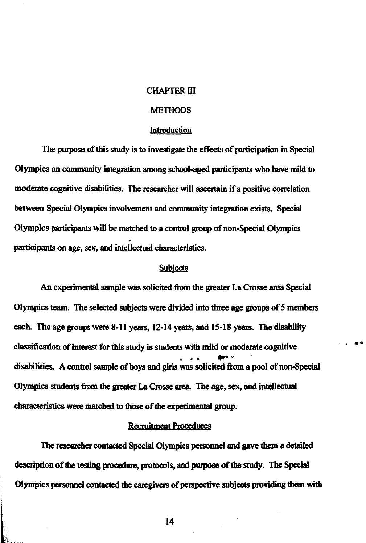#### CHAPTER **111**

#### **METHODS**

#### Introduction

The purpose of this **study** is to investigate the effects of participation in Special Olympics on community integration among school-aged participants who have mild to **moderate** cognitive disabilities. The researcher **will ascertain** if a positive correlation **between** Special Olympics involvement and community integration exists. Special Olympics participants will be matched to a control group of non-Special Olympics participants on age, **sex,** and intellectual characteristics.

#### **Subiects**

An experimental sample was solicited from the greater La Crosse area Special Olympics team. The selected **subjects were** divided **into three** age groups of **5 members**  each. The age groups **were 8-1 1 years, 12-14 years,** and **15-18 years.** The disability classification of interest for this study is students with mild or moderate cognitive disabilities. A control sample of boys and girls was solicited **hm** a pool of non-Special Olympics students **hm** the **greater** La **Cmssc** area The age, **sex,** and intellectual characteristics **were** matched to those of **the qmimental** group.

#### Recruitment Procedures

The researcher contacted Special Olympics personnel and gave them a detailed **description** of the **testing** procechnc, protocols, and purpose of the study. **The Specid**  Olympics personnel contacted the caregivers of perspective subjects providing them with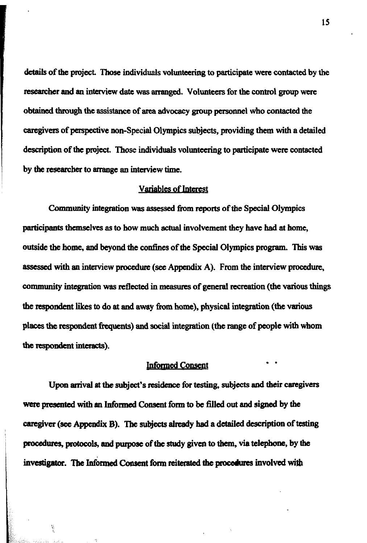**details** of **the project Those** individuals voluntming to participate were contacted **by** the researcher **and an** interview date **was** arranged. Volunteen for **the** control group were obtained through **the** assistance of **area** advocacy **group** personnel who contacted the cangivers of paspective non-Special Olympics subjects, providing them with a detailed description of the **project.** Those individuals volunteering to participate were contacted **by the mearcher to** anange an interview time.

#### Variables of Interest

**Community** integration was **assessed from reports** of **the** Special Olympics participants themselves as to how **much** actual involvement they have had **at home,**  outside **the home,** and beyond **the** confines of the Special Olympics program. This was assessed with an interview procedure (see Appendix A). From the interview procedure, community integration **was** reflected in **measures** of general recreation **(the** various things **the** respondent likes **to** do **at and away from home),** physical integration **(the** various **places the respondent frequents)** and andial inwon (the range of people with **whom**  the respondent interacts).

#### **Informed Consent**

Upon arrival at the subject's residence for testing, subjects and their caregivers **wen** pnsented with **an** Informed **Consent** form **to** be filled out **and** signed by the cangiver **(see** Appendix B). **The subjects already** hed **a** detailed description of testing procedures, protocols, and purpose of the study given to them, via telephone, by the investigator. The Informed Consent form reiterated the procedures involved with

ň.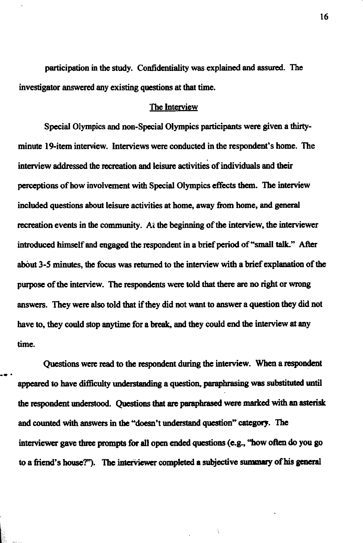participation in the study. Confidentiality was explained and assured. The investigator answered **any** existing questions **at** that time.

#### The Interview

Special Olympics **and** non-Special Olympics participants were given a thirtyminute 19-item interview. Interviews were conducted in the respondent's home. The interview addressed the recreation and leisure activities of individuals and their pemptions of how involvement with Special Olympics effects them. **The** interview included questions **about** leisure activities at home, **away from** home, **and** general recreation events in the community. At the beginning of the interview, the interviewer introduced himself and engaged the respondent in a brief period of "small tak" *After*  **about** 3-5 minutes, **the** focus was returned to **the** interview with a brief explanation of **the**  purpose of the interview. The respondents were told that there are no right or **wrong**  answers. They were also told that if **they** did not want to answer a question **they** did not have to, **they** could stop **anytime** for a **break, and they** could **end the** interview **at any time.** 

Questions were read to the respondent during the interview. When a respondent -\* . appeared to have difficulty understanding a question, paraphrasing was substituted until the respondent understood. Questions that are paraphrased were marked with an asterisk and counted with answers in the "doesn't understand question" category. The interviewer gave three **prompts** for **all** open ended questions (e.g., **"how often** do **you** go to a friend's house?"). The interviewer completed a subjective summary of his general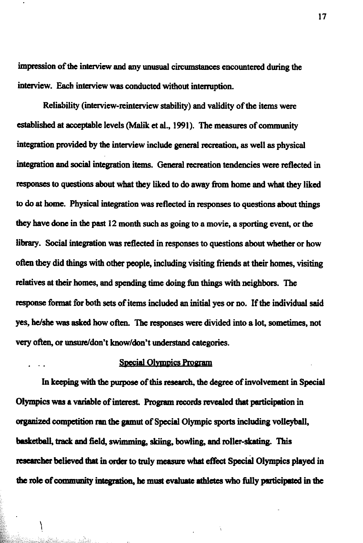impression of the interview and any unusual circumstances encountered during the interview. Each interview was conducted without interruption.

Reliability (mterview-reinterview stability) and validity of the items were established at acceptable levels (Malik et al., 1991). The measures of community integration provided by the interview include general recreation, as well as physical integration and social integration items. *Geaeral* recreation tendencies were reflected in responses to **questions about what they** liked **to** do **away** from home **and what they** lied to do **at** home. Physical integration **was** reflected in **responses** to questions **about** things **they** have done. in the past 12 month such as going to **a** movie, **a** sporting event, or the library. Social integration was reflected in responses to questions about whether or how often they did things with other people, including visiting friends at their homes, visiting relatives at their homes, and spending time doing fun things with neighbors. The response fonnat for both **sets** of items included **an** initial **yes** or no. If the individual said yes, he/she was asked how often. The responses were divided into a lot, sometimes, not very often, or unsure/don't know/don't understand categories.

#### Special Olympics Program

In keeping with the purpose of this research, the degree of involvement in Special Olympics was a variable of interest. Program records revealed that participation in organized competition ran the gamut of Special Olympic sports including volleyball, **basketball, track and field, swimming, skiing, bowling, and roller-skating. This** researcher believed that in order to truly measure what effect Special Olympics played in the role of community integration, he must evaluate athletes who fully participated in the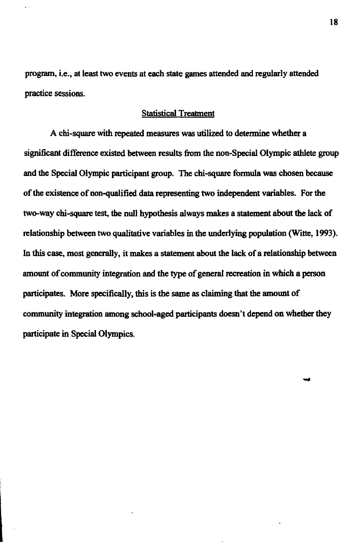program, i.e., at least two events at each state games attended and regularly attended practice sessions.

#### Statistical Treatment

A chi-square with repeated measures was utilized to determine whether a significant difference existed between results from the non-Special Olympic athlete group and the Special Olympic participant group. **The** chi-square formula was chosen because of the existence of non-qualified data representing two independent variables. For the two-way chi-square **tes&** the null hypothesis always makes a statement about the **lack** of relationship between two qualitative variables in the underlying population (Witte, 1993). In this case, most generally, it makes a statement about the lack of a relationship between amount of **community** integration and the type of general recreation in which a person participates. More specifically, this is **the** same as claiming that the amount of **community** integration among school-aged participants doesn't depend on whether they participate in Special Olympics.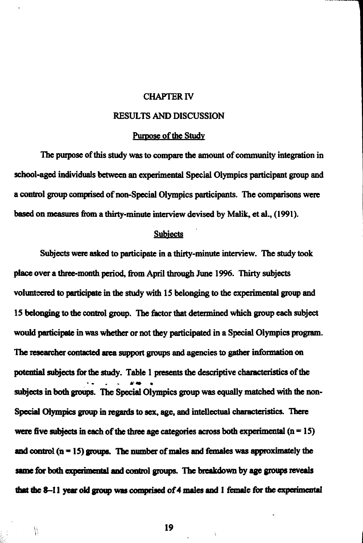#### **CHAPTER IV**

**CHAPTER IV<br>
RESULTS AND DISCUSSION<br>
<u>Purpose of the Study</u><br>
rudy was to compare the amount of community integ<br>
reen an experimental Special Olympics participant g** The **purpose of this study was to compare the amount of community integration in**   $school-aged individuals between an experimental Special Olympics participant group and$ **a control group comprised of non-Special Olympics participants. The comparisons were**  besad **on measures hm a** thirty-minute **interview devised by Malilt, d al., (1991).** 

#### **Subiects**

**Subjects were asked to participate in a thirty-minute interview. The study took place over a threemonth** period, **from April** through **June 19%. Thirty subjects**  volunteered to participate in the study with 15 belonging to the experimental group and **15 belonging to thc control group.** Ihe **factor that detamined which group each subject would participate in** was whether **or not they participated in a Special Olympics program.**  The researcher contacted area support groups and agencies to gather information on potential subjects for the study. Table 1 presents the descriptive characteristics of the subjects in both groups. The Special Olympics group was equally matched with the non-**Special Olympics group in regards to sex, age, and intellectual characteristics. There** were five subjects in each of the three age categories across both experimental  $(n = 15)$ and control  $(n = 15)$  groups. The number of males and females was approximately the same for both experimental and control groups. The breakdown by age groups reveals that the 8-11 year old group was comprised of 4 males and 1 female for the experimental

19

Y.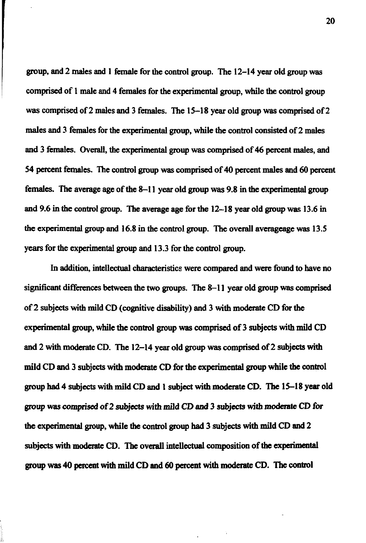group, and 2 males and 1 female for **the** control group. The 12-14 **year** old group **was**  comprised of 1 male and 4 females for the experimental group, while **the** control group **was** comprised of 2 males and 3 females. The 15-18 **year** old group **was** comprised of 2 males and 3 females for the experimental group, while the control consisted of 2 males and 3 females. Overall, the experimental group **was** comprised of 46 percent males, and 54 percent females. The control group **was** comprised of 40 percent males and 60 percent females. The average age of **the** 8-1 1 **year** old group **was** 9.8 in the experimental group **and** 9.6 in the control group. The average age for the 12-18 **year** old group **was** 13.6 in the experimental group **and** 16.8 in **the** control group. The overall averageage **was** 13.5 **years** for the experimental group and 13.3 for the control group.

In addition, intellectual characteristics **were** compared **and were** found **to** have no significant differences **between** the two groups. The 8-1 1 **year** old group **was** comprised of 2 subjects with mild **CD** (cognitive disability) and 3 with moderate **CD** for **the**  experimental group, while the control group was comprised of 3 subjects with mild **CD**  and 2 with moderate **CD.** The 12-14 **year** old group **was** comprised of 2 subjects **with**  mild **CD and** 3 subjects with modeme **CD** for **the** experimental group while **the** control group had 4 subjects with mild **CD and** 1 subject with moderate **CD.** The 15-18 **year** old group **was comprised** of 2 subjecls with mild **CD** and 3 **subjects** with moderate **CD** for the experimental group, while **the** control group had 3 subjects with mild **CD and** 2 subjects with **modrmtc CD. The** overall intellectual composition of **the** experimental **group was** 40 percent with mild **CD and** 60 percent with **moderate CD. The control**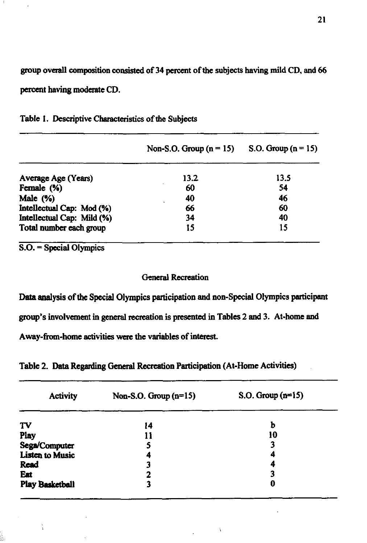group overall composition consisted of 34 percent of the subjects having mild CD, and 66 percent having **moderate CD.** 

|                            | Non-S.O. Group $(n = 15)$ | S.O. Group $(n = 15)$ |
|----------------------------|---------------------------|-----------------------|
| Average Age (Years)        | 13.2                      | 13.5                  |
| Female (%)                 | 60                        | 54                    |
| Male (%)                   | 40                        | 46                    |
| Intellectual Cap: Mod (%)  | 66                        | 60                    |
| Intellectual Cap: Mild (%) | 34                        | 40                    |
| Total number each group    | 15                        | 15                    |

|  |  | Table 1. Descriptive Characteristics of the Subjects |  |  |
|--|--|------------------------------------------------------|--|--|
|--|--|------------------------------------------------------|--|--|

S.O. = Special Olympics

### General Recreation

Data analysis of the Special Olympics participation and non-Special Olympics participant group's involvement in general recreation is presented in Tables 2 and 3. At-home and Away-from-home activities were the variables of interest.

Table 2. Data Regarding General Recreation Participation (At-Home Activities)

| <b>Activity</b>        | Non-S.O. Group $(n=15)$ | $S.O.$ Group $(n=15)$ |
|------------------------|-------------------------|-----------------------|
| <b>TV</b>              | 14                      | b                     |
| Play                   | 11                      | 10                    |
| Sega/Computer          | 5                       | 3                     |
| Listen to Music        | 4                       | 4                     |
| Read                   | 3                       |                       |
| Eat                    | າ                       | 3                     |
| <b>Play Basketball</b> | 3                       | 0                     |

 $\bar{\lambda}$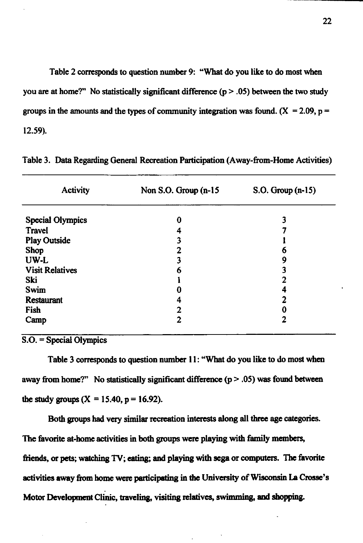Table 2 corresponds to question number 9: "What do you like to do most when you are at home?" No statistically significant difference  $(p > .05)$  between the two study groups in the amounts and the types of community integration was found.  $(X = 2.09, p =$ 12.59).

| <b>Activity</b>         | Non S.O. Group $(n-15)$ | $S.O. Group (n-15)$ |
|-------------------------|-------------------------|---------------------|
| <b>Special Olympics</b> | 0                       |                     |
| <b>Travel</b>           |                         |                     |
| <b>Play Outside</b>     | 3                       |                     |
| <b>Shop</b>             | າ                       | 6                   |
| UW-L                    |                         | 9                   |
| <b>Visit Relatives</b>  | 6                       | 3                   |
| Ski                     |                         |                     |
| Swim                    |                         |                     |
| <b>Restaurant</b>       |                         | 2                   |
| Fish                    | 2                       | 0                   |
| Camp                    | 2                       | 2                   |

Table 3. Data Regarding General Recreation Participation (Away-from-Home Activities)

S.O. = Special Olympics

Table 3 corresponds to question number 11: "What do you like to do most when away from home?" No statistically significant difference  $(p > .05)$  was found between the study groups  $(X = 15.40, p = 16.92)$ .

Both **groups** had very similar recreation interests along all three **age** categories. **The** favorite at-home activities in **both groups** were playing **with family members, friends, or pets;** watchhg **TV,** *eating;* **and** playing with **sega** or **wmputcm. The** favorite activities away from home were participating in the University of Wisconsin La Crosse's **Motor Developncnt** CI-, **travclii visiting** relatives, **6-g and** shopping.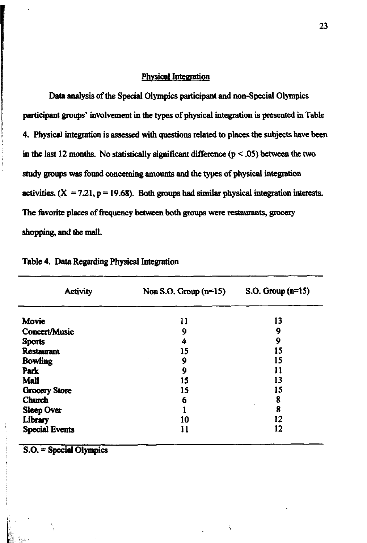### **Physical Integration**

Data analysis of the Special Olympics participant and non-Special Olympics participant groups' involvement in the types of physical integration is presented in Table 4. Physical integration is assessed with questions related to places the subjects have been in the last 12 months. No statistically significant difference  $(p < .05)$  between the two study groups was found concerning amounts and the types of physical integration activities.  $(X = 7.21, p = 19.68)$ . Both groups had similar physical integration interests. The favorite places of frequency between both groups were restaurants, grocery shopping, and the mall.

| <b>Activity</b>       | Non S.O. Group $(n=15)$ | S.O. Group $(n=15)$ |  |
|-----------------------|-------------------------|---------------------|--|
| Movie                 | 11                      | 13                  |  |
| Concert/Music         | 9                       | 9                   |  |
| <b>Sports</b>         | 4                       | 9                   |  |
| <b>Restaurant</b>     | 15                      | 15                  |  |
| <b>Bowling</b>        | 9                       | 15                  |  |
| Park                  | 9                       | 11                  |  |
| <b>Mall</b>           | 15                      | 13                  |  |
| <b>Grocery Store</b>  | 15                      | 15                  |  |
| Church                | 6                       | 8                   |  |
| Sleep Over            |                         | 8                   |  |
| Library               | 10                      | 12                  |  |
| <b>Special Events</b> | 11                      | 12                  |  |

Ň

| Table 4. Data Regarding Physical Integration |  |  |  |  |  |
|----------------------------------------------|--|--|--|--|--|
|----------------------------------------------|--|--|--|--|--|

 $S.O. = Special Olympics$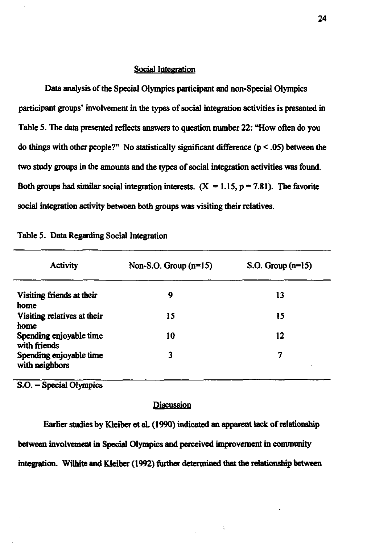#### Social Integration

Data analysis of **the** Special Olympics participant and non-Special Olympics participant groups' involvement in the types of social integration activities is presented in Table 5. The **data** presented reflects answers to question number 22: "How often do you do things with other people?" No statistically significant difference  $(p < .05)$  between the two study **groups** in the amounts and the types of social integration activities was found. Both groups had similar social integration interests.  $(X = 1.15, p = 7.81)$ . The favorite social integration activity between both groups was visiting their relatives.

| <b>Activity</b>                           | Non-S.O. Group $(n=15)$ | S.O. Group $(n=15)$ |
|-------------------------------------------|-------------------------|---------------------|
| Visiting friends at their<br>home         | 9                       | 13                  |
| Visiting relatives at their<br>home       | 15                      | 15                  |
| Spending enjoyable time<br>with friends   | 10                      | 12                  |
| Spending enjoyable time<br>with neighbors | 3                       | 7                   |

|  |  |  |  | Table 5. Data Regarding Social Integration |
|--|--|--|--|--------------------------------------------|
|--|--|--|--|--------------------------------------------|

S.O. = Special Olympics

#### **Discussion**

Earlier studies by Kleiber et al.  $(1990)$  indicated an apparent lack of relationship between involvement in Special Olympics and pcrccivcd improvement in **community**  integration. Wilhite and Kleiber (1992) further determined that the relationship between

Â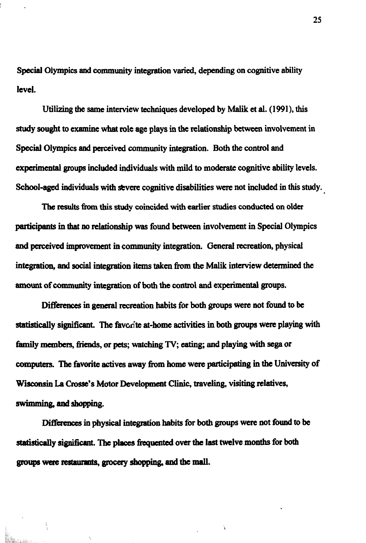**Special** Olympics **and** community integration varied, depending on cognitive ability level.

Utilizing the same interview techniques developed by Malik et al. (1991), this study sought to examine what role age plays in **the** relationship **between** involvement in **Special** Olympics **and** perceived community integration. **Both the** control **and**  experimental **groups** included individuals with mild to **moderate** cognitive ability levels. School-aged individuals with evere cognitive disabilities **were** not included in this study.

The results from this study coincided with earlier studies conducted on older participants in **that** no relationship was found **between** involvement in **Special** Olympics and perceived improvement in community integration. General recreation, physical integration, and social integration items taken from the Malik interview determined the **amount** of community integration of **both** the control **and** experimental **groups.** 

Differences in general recreation habits for both groups were not found to be sbtktically **signitlcant. The** fsvorite at-home **activities** in **both groups** were **playing with**  family members, friends, or pets; watching TV; eating; and playing with sega or computas. **The** favorite actives away from **home** were participating in **the** University of **Wisconsin La Crosse's Motor Development Clinic, traveling, visiting relatives,** swimming, and shopping.

Differences in physical integration habits for **both groups** were not found **to** be statistically significant. The places frequented over the last twelve months for both groups were restaurants, grocery shopping, and the mall.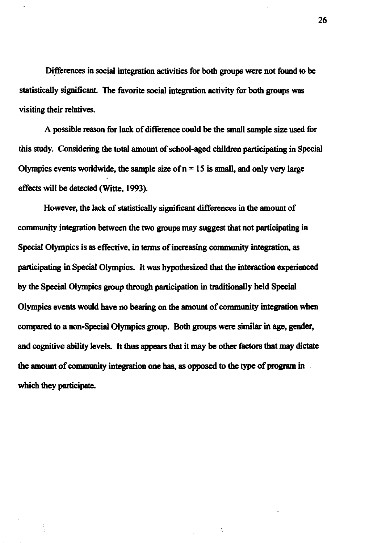Differences in social integration activities for both groups were not found to be statistically significant. The favorite social integration activity for both groups was visiting their relatives.

**A** possible **reason** for lack of diffennce could be the small sample size used for this study. Considering the total amount of school-aged children participating in Special Olympics events worldwide, the sample size of  $n = 15$  is small, and only very large effects will be **detected** (Witte. **1993).** 

However, the lack of statistically significant differences in the amount of community integration **between** the two groups may suggest **that** not participating in Special Olympics is as effective, in **tenns** of increasing community integration, as participating in Special Olympics. It was hypothesized that the interaction experienced by **the** Special Olympics group **through** participation in traditionally **held** Special Olympics events would have no bearing on the amount of community integration **when compared** to a non-Special Olympics group. Both groups were similar in **age,** gender, and cognitive ability levels. It thus appears that it may be other factors **that may** dictate **the amount of community integration one has, as opposed to the type of program in** which they participate.

 $\tilde{\gamma}$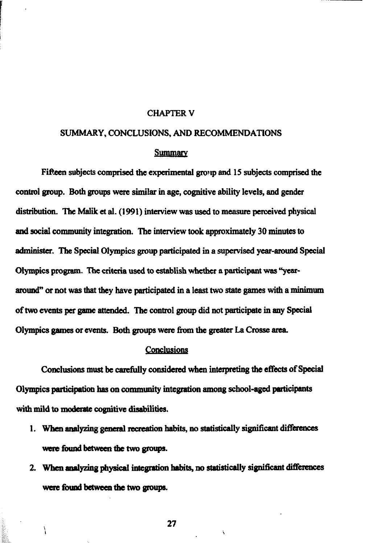#### CHAPTER V

#### SUMMARY, CONCLUSIONS, AND RECOMMENDATIONS

#### **Summary**

Fifteen subjects comprised the experimental group and 15 subjects comprised the control group. Both **groups** were similar in age, cognitive ability levels, and **gender**  distribution. The Malik et al. (1991) interview was used to measure perceived physical and social **community** integration. The interview **took** approximately 30 **minutes** to **administer.** The Special Olympics **group** participated in a supervised year-around Special Olympics program. The criteria used to **establish whetha a participant was** "year**muad' or** not was **that** they have participated in a least two **state games with** a **minimum**  of **two events per** game attcndcd. The control **group** did not participate in any Special Olympics games or events. Both groups were from the greater La Crosse area.

#### Conclusions

Conclusions must be carefully considered when interpreting the effects of Special Olympics **participation has on community** integration **among** school-aged participants with mild to moderate cognitive disabilities.

- **1.** When analyzing general recreation habits, no statistically significant differences were found between the two groups.
- 2. When analyzing physical integration habits, no statistically significant differences were found between the two groups.

27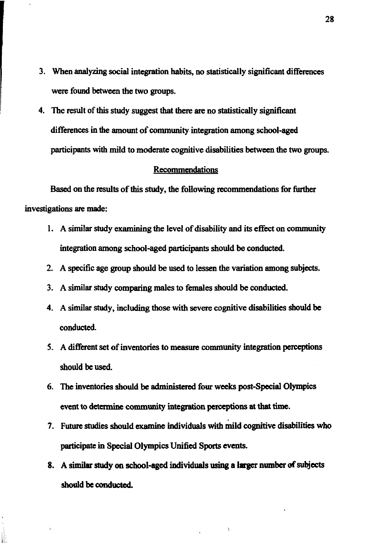- 3. When analyzing social integration habits, no statistically significant differences were found between the two groups.
- 4. The result of this study suggest that there are no statistically significant differences in **the** amount of community integration among school-aged participants with mild to moderate cognitive disabilities between the two groups.

#### Recommendations

Based on the results of this study, the following recommendations for further investigations are made:

- 1. A similar study examining the level of disability and its effect on community integration among school-aged participants should be conducted.
- 2. A specific age group should be used to lessen the variation among subjects.
- 3. A similar study comparing males to females should be conducted.
- 4. A similar study, including those with severe cognitive disabilities should be conducted.
- 5. A different set of inventories to measure community integration perceptions should be used.
- 6. **The** inventories should be administered four **weeks** post-Special Olympics event to determine community integration perceptions at that time.
- 7. Future studies should examine individuals with mild cognitive disabilities who **participate** in Special Olympics Unified Sports events.
- 8. A similar **study** on school-aged individuals using a **largcr number of subjects**  should be conducted.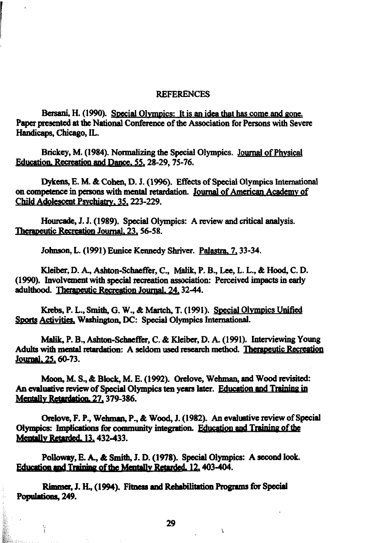#### **REFERENCES**

Bersani, H. (1990). Special Olympics: It is an idea that has come and gone. Paper presented at the National Conference of the Association for Persons with Severe Handicaps, Chicago, IL.

Brickey, M. (1984). Normalizing the Special Olympics. Journal of Physical Education, Recreation and Dance, 55, 28-29, 75-76.

Dykens, E. M. & Cohen, D. J. (1996). Effects of Special Olympics International on competence in persons with mental retardation. Journal of American Academy of Child Adolescent Psychiatry, 35, 223-229.

Hourcade, J. J. (1989). Special Olympics: A review and critical analysis. Therapeutic Recreation Journal, 23, 56-58.

Johnson, L. (1991) Eunice Kennedy Shriver. Palastra, 7, 33-34.

Kleiber, D. A., Ashton-Schaeffer, C., Malik, P. B., Lee, L. L., & Hood, C. D. (1990). Involvement with special recreation association: Perceived impacts in early adulthood. Therapeutic Recreation Journal, 24, 32-44.

Krebs, P. L., Smith, G. W., & Martch, T. (1991). Special Olympics Unified Sports Activities, Washington, DC: Special Olympics International.

Malik, P. B., Ashton-Schaeffer, C. & Kleiber, D. A. (1991). Interviewing Young Adults with mental retardation: A seldom used research method. Therapeutic Recreation Journal, 25, 60-73.

Moon, M. S., & Block, M. E. (1992). Orelove, Wehman, and Wood revisited: An evaluative review of Special Olympics ten years later. Education and Training in Mentally Retardation, 27, 379-386.

Orelove, F. P., Wehman, P., & Wood, J. (1982). An evaluative review of Special Olympics: Implications for community integration. Education and Training of the Mentally Retarded, 13, 432-433.

Polloway, E. A., & Smith, J. D. (1978). Special Olympics: A second look. Education and Training of the Mentally Retarded, 12, 403-404.

Rimmer, J. H., (1994). Fitness and Rehabilitation Programs for Special Populations, 249.

a<br>F

29

 $\lambda$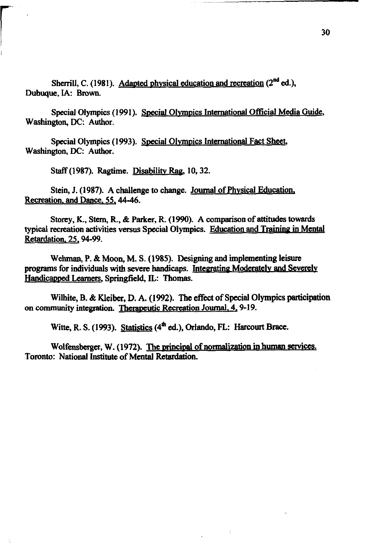Sherrill, C. (1981). Adapted physical education and recreation  $(2^{nd}$  ed.), Dubuque, IA: **Brown.** 

Special Olympics (1991). Special Olympics International Official Media Guide, Washington, **DC:** Author.

Special Olympics (1993). Special Olympics International Fact Sheet, Washington, **DC:** Author.

Staff (1987). Ragtime. Disabilitv **Rag,** 10,32.

Stein, J. (1987). A challenge to change. Journal of Phvsical Education, Recreation, and Dance, 55, 44-46.

Storey, K., Stern, R., & Parker, R. (1990). A comparison of attitudes towards<br> *typical recreation activities versus Special Olympics. Education and Training in Mental* Retardation. 25.94-99.

Wehman, P. & Moon, M. S. (1985). Designing and implementing leisure programs for individuals with severe handicaps. Integrating Moderately and Severely Handicapped Learners, Springfield, IL: Thomas.

Wilhite, **B.** & **Kleibcr, D. A.** (1992). **The** effect of Special Olympics participation on community integration. Therapeutic Recreation Journal, 4, 9-19.

Witte, R. S. (1993). Statistics (4<sup>th</sup> ed.), Orlando, FL: Harcourt Brace.

Wolfensberger, W. (1972). The principal of normalization in human services. Toronto: National Institute of Mental Retardation.

 $\hat{\gamma}$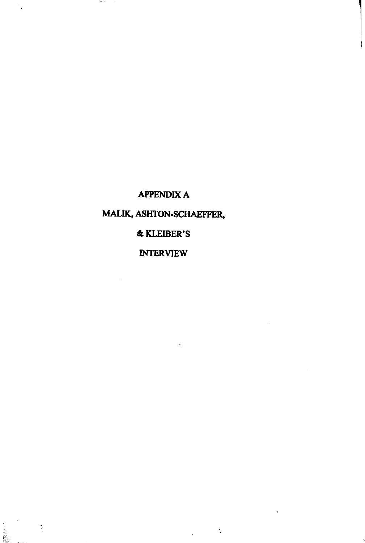# **APPENDIX A**

# MALIK, ASHTON-SCHAEFFER,

## **& KLEIBER'S**

## **INTERVIEW**

 $\mathcal{A}$ 

٠,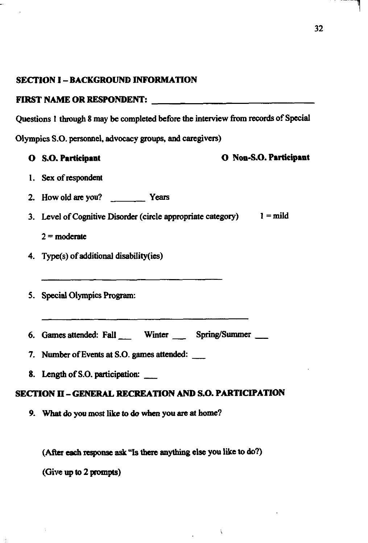#### **SECTION I - BACKGROUND INFORMATION**

#### **FIRST NAME OR RESPONDENT:**

**Questions 1 through 8 may be completed before the interview from records of Special** 

**Olympics S.O. persomrel, advocacy groups, and caregivers)** 

**0 S.O. Participant 0 Noa-S.0. Participant 1. Sex of respondent 2.** How old are you? **All 2.** Years **3.** Level of Cognitive Disorder (circle appropriate category) 1 = mild  $2 =$  moderate **4. Type(s) of additional disabiiity(ies) 5. Special Olympics Program: 6. Games attended: Fall** - **Wmter Spring/Summer** - **7. Number of Events at S.O. games attendad:** - **8. Length of S.O. participation:** <u>\_\_\_</u><br>**8. Length of S.O. participation:** \_\_\_\_ **SECTION II -GENERAL RECREATION AND S.O. PARTICIPATION 9. What do you most like to do when you are at home?** 

(After each response ask "Is there anything else you like to do?)

**(Give up to 2 prompts)**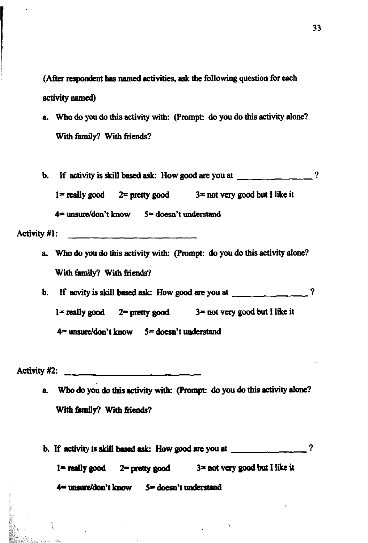(After respondent has named activities, ask the following question for each activity named)

- a. Who do you do this activity with: (Prompt: do you do this activity alone? With family? With friends?
- b. If activity is skill based ask: How good are you at  $\frac{1}{2}$   $\frac{1}{2}$   $\frac{1}{2}$   $\frac{1}{2}$  $1 =$  really good  $2 =$  pretty good  $3 =$  not very good but I like it  $4 =$  unsure/don't know  $5 =$  doesn't understand

Activity #1: <u> 1989 - Johann John Stone, mars et al. 1989 - John Stone Barnett, fransk konge og store for de store for de s</u>

- a. Who do you do this activity with: (Prompt: do you do this activity alone? With family? With friends?
- b. If acvity is skill based ask: How good are you at  $\frac{1}{2}$   $\frac{1}{2}$   $\frac{1}{2}$  $1 =$  really good  $2 =$  pretty good  $3 =$  not very good but I like it  $4 =$  unsure/don't know  $5 =$  doesn't understand

Activity #2:

ĩ

- a. Who do you do this activity with: (Prompt: do you do this activity alone? With family? With friends?
- b. If activity is skill based ask: How good are you at  $\frac{1}{2}$   $\frac{1}{2}$   $\frac{1}{2}$

 $2 =$  pretty good  $3 =$  not very good but I like it  $1 =$  really good

 $4$ <sup> $\text{m}$ </sup> unsure/don't know  $5$   $\text{m}$  doesn't understand

<u> 2001 - Jan James, martin de la componenta</u>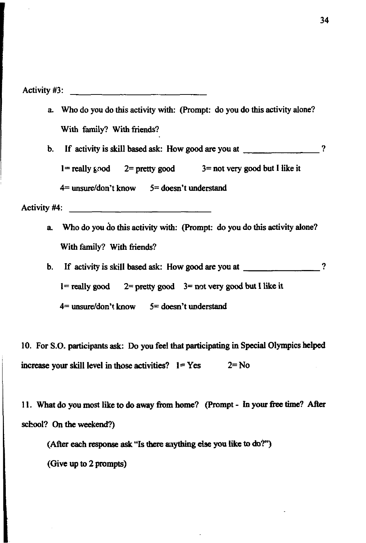Activity #3:

a. Who do you do this activity with: (Prompt: do you do this activity alone? With family? With **friends?** 

b. If activity is skill based ask: How good are you at ?

 $1 =$  really good  $2 =$  pretty good  $3 =$  not very good but I like it

**4=** muddon't know **5=** doesn't understand

Activity **#4:** 

a. Who do you do this activity with: (Prompt: do you do this activity alone? With family? With friends?

b. If activity is skill based ask: How good are you at \_\_\_\_\_\_\_\_\_\_\_\_\_\_\_?

 $1 =$  really good  $2 =$  pretty good  $3 =$  not very good but I like it

**4=** muddon't know **5=** doesn't understand

10. For S.O. participants **ask:** Do you feel that participating in **Special** Olympics helped increase your skill level in those activities?  $1 = Yes$   $2 = No$ 

11. What do you most like to do away from home? (Prompt - In your free time? After school? **On** the weekend?)

**(After each mpome ask** "Is there **anything else yon** like to **do'?'')** 

(Give up to 2 **prompts)**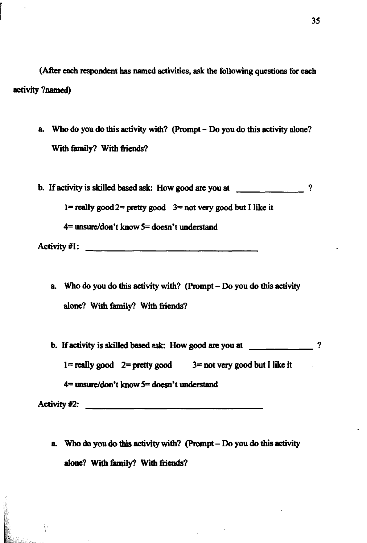**(Aftex each respondent has named activities, ask the following questions for each activity ?named)** 

- **a** Who **do you do this activity with? (Prompt Do you do this activity alone? With family?** With friends?
- **b.** If activity is skilled based ask: How good are you at  $\binom{2}{3}$ **I= really good2= pretty good 3= not very good but I like it 4= unsure/don't know 5= doesn't understand**

**Activity #I** :

- a. Who do you do this activity with? (Prompt Do you do this activity **alone? With family? With friends?**
- **b. If activity is skilled based ask:** How good are you at  $\qquad \qquad \qquad$  ?

 $1 =$ **really good**  $2 =$ **pretty** good  $3 =$ **not** very good but I like it

**4= uasurddon't know 5= doesn't understand** 

**Activity #2:** 

W.

a. Who do you do this activity with? (Prompt – Do you do this activity **alone? With family? With fieads?**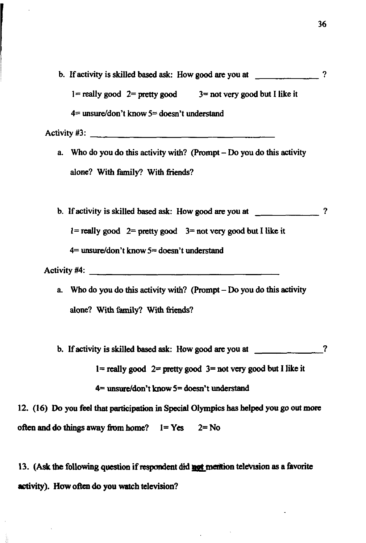b. If activity is skilled based ask: How good **are** you at ?  $1 =$  really good  $2 =$  pretty good  $3 =$  not very good but I like it **4=** unsurddon't know **5=** doesn't understand Activity **\$3:** 

a. Who do you do this activity with? (Prompt - Do you do this activity alone? With family? With friends?

b. lf activity is skilled based **ask:** How good **are** you at ?

 $1 =$  really good  $2 =$  pretty good  $3 =$  not very good but I like it

**4=** unsddon't know **5=** doesn't understand

Activity #4:

a. Who do you do this activity with? (Prompt  $-$  Do you do this activity alone? With family? With friends?

b. If activity is skilled based **ask:** How good **are** you at ?

1= really good 2= **pretty** good **3=** not very good but I like it

**4= &don't** know **5= doesn't** lmderstand

12. (16) Do you feel that participation in Special Olympics has helped you go out more offen and do **things** away **from** home? 1= **Yes** 2= No

**13.** (Ask the following question if respondent did **not** mention television as a favorite activity). How often do you watch television?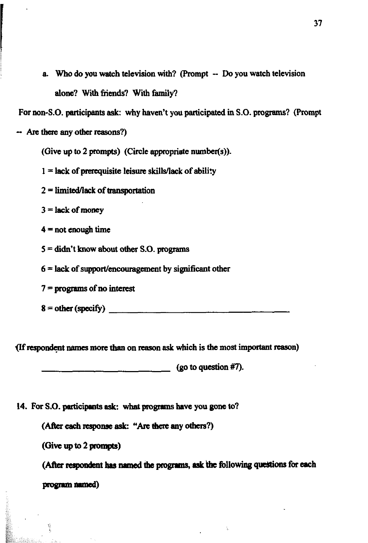a. Who do you watch television with? (Prompt -- Do you watch television **alooe?** With **fiends?** With family?

For **non-S.O.** perticipmts **ask.** why **haven't** you participated **in S.O.** programs? (Prompt

- Are there my other **reasons?)** 

(Give up **to** 2 prompts) (Circle appropriate number(s)).

 $1 =$  lack of prerequisite leisure skills/lack of ability

2 = limited/lack of transportation

 $3 =$  lack of money

 $4 = not enough time$ 

5 **=didn't bw about other S.O. programs** 

 $6 =$  lack of support/encouragement by significant other

 $7 =$  programs of no interest

 $8 = other (specific)$ 

If respondent names more than on reason ask which is the most important reason)

**(Bo** to question **#7).**  

14. For S.O. participants ask: what programs have you gone to?

(After each response ask: "Are there any others?)

**(Give up** to **2 pompts)** 

Ŵ

(After respondent has named the programs, ask the following questions for each program *named*)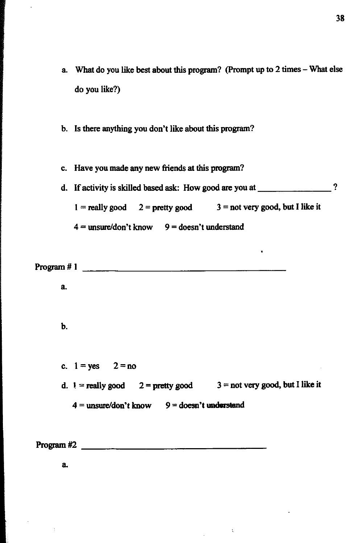- a What do you like **best** about **this** program? (Prompt up to 2 times What else do you like?)
- **b. Is** there anything you don't like about **this** program?
- c. Have you made any new fiends at **this** program?
- d. If activity is skilled based ask: How good are you at 2 2  $1 =$  really good  $2 =$  pretty good  $3 =$  not very good, but I like it  $4 =$  unsure/don't know  $9 =$  doesn't understand

**Program** # 1

a.

#### b.

c.  $1 = yes$   $2 = no$ d.  $1 =$  **really good**  $2 =$  **pretty good**  $3 =$  not very good, but I like it  $4 =$ unsure/don't know  $9 =$ doesn't understand

 $\mathbf{r}$ 

Program #2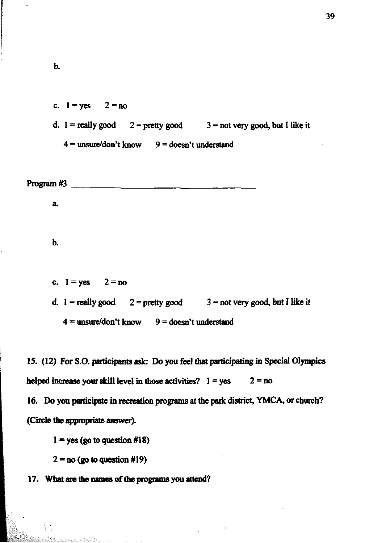c.  $1 = yes$   $2 = no$ **d.**  $1 =$ **really good**  $2 =$ **pretty good**  $3 =$ **not very good, but I like it**  $4 =$  **unsure/don't know**  $9 =$  **doesn't understand** 

Program **#3 a**   $\mathbf b$ . **c.**  $1 = yes$   $2 = no$ **d.**  $1 = \text{really good}$   $2 = \text{pretty good}$   $3 = \text{not very good}, \text{ but I like it}$ 

15. (12) For S.O. participants ask: Do you feel that participating in Special Olympics

**helped increase your skill level in those activities?**  $1 = yes$  **2 = <b>no** 

 $4 =$ **unsure/don't know**  $9 =$ **doesn't understand** 

16. Do you participate in recreation programs at the park district, YMCA, or church? **(Circle thc appropaiase answer).** 

 $1 = yes$  (go to question  $#18$ )

 $2 = no$  (go to question  $\#19$ )

ana amblika komunista

17. What are the names of the programs you attend?

 $\mathbf b$ .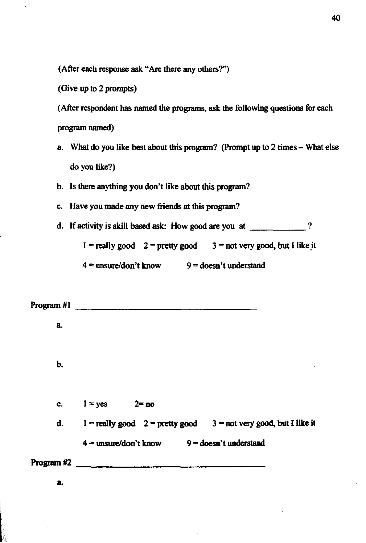**(AAer each response** ask "Are there any others?")

(Give up to 2 prompts)

**(After** respondent has named the programs, **ask** the following questions for each Program **named)** 

- a. What do you like best about this program? (Prompt up **to** 2 **times**  What else do you like?)
- b. Is there anything you don't like about this program?
- c. Have you made any new friends at this program?
- d. If activity is skill based **ask:** How **good are** you at ?

 $I =$  **really good**  $2 =$  **pretty good**  $3 =$  **not very good, but I like it** 

 $4 =$  unsure/don't know  $9 =$  doesn't understand

Program **#1 a**  Ь. c.  $1 = yes$  $2 = no$ d.  $1 = \text{really good } 2 = \text{ pretty good } 3 = \text{not very good, but I like it}$  $4 =$ **unsure/don't know**  $9 =$ **doesn't understand**  $Program #2$ a.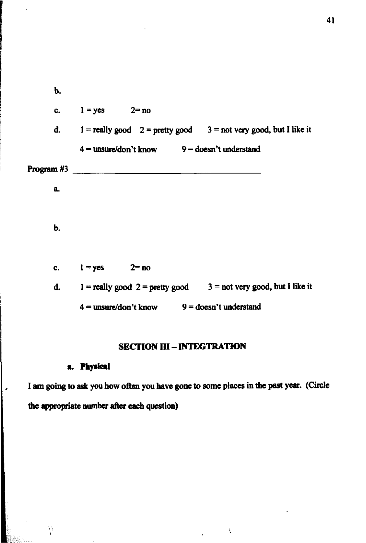**b.**  c.  $l = yes$   $2 = no$ **d. 1** = **really good**  $2$  = **pretty good**  $3$  = **not very good, but I like it**  $4 =$  **unsure/don't know**  $9 =$  **doesn't understand** Program #3 *Program #3* **a**   $\mathbf b$ . c.  $1 = yes$   $2 = no$ **d. 1** = **really good 2** = **pretty good**  $3$  = **not very good, but I like it**  $4 =$  **unsure/don't know**  $9 =$  **doesn't understand** 

### **SECTION III - INTEGTRATION**

V.

I am going to ask you how often you have gone to some places in the past year. (Circle I am going to ask you how often you have got

 $\lambda$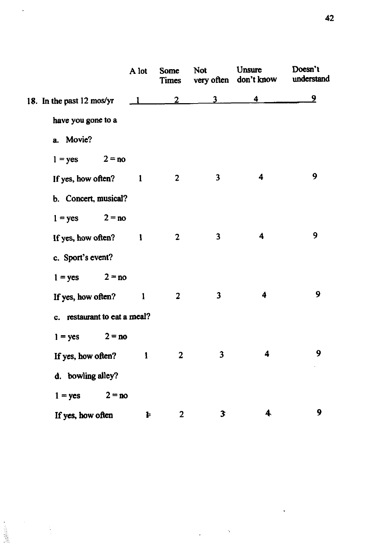|                              | A lot        | Some<br>Times  | Not                     | Unsure<br>very often don't know | Doesn't<br>understand |
|------------------------------|--------------|----------------|-------------------------|---------------------------------|-----------------------|
| 18. In the past 12 mos/yr    | $\mathbf{1}$ | $\overline{2}$ | $\overline{\mathbf{3}}$ | 4                               | 9                     |
| have you gone to a           |              |                |                         |                                 |                       |
| a. Movie?                    |              |                |                         |                                 |                       |
| $1 = yes$ $2 = no$           |              |                |                         |                                 |                       |
| If yes, how often?           | $\mathbf{1}$ | $\overline{2}$ | $\overline{\mathbf{3}}$ | 4                               | 9                     |
| b. Concert, musical?         |              |                |                         |                                 |                       |
| $1 = yes$ $2 = no$           |              |                |                         |                                 |                       |
| If yes, how often? $1$       |              | $\mathbf{2}$   | $\overline{\mathbf{3}}$ | 4                               | 9                     |
| c. Sport's event?            |              |                |                         |                                 |                       |
| $1 = yes$ $2 = no$           |              |                |                         |                                 |                       |
| If yes, how often?           | $\mathbf{1}$ | $\overline{2}$ | $\overline{\mathbf{3}}$ | 4                               | 9                     |
| c. restaurant to eat a meal? |              |                |                         |                                 |                       |
| $1 = yes$ $2 = no$           |              |                |                         |                                 |                       |
| If yes, how often?           | $\mathbf{I}$ | $\overline{2}$ | $\overline{\mathbf{3}}$ | 4                               | 9                     |
| d. bowling alley?            |              |                |                         |                                 |                       |
| $1 = yes$                    | $2 = no$     |                |                         |                                 |                       |
| If yes, how often            | Þ            | $\mathbf{2}$   | 3                       | 4                               | 9                     |

l,

 $\ddot{\phantom{0}}$ 

 $\ddot{\cdot}$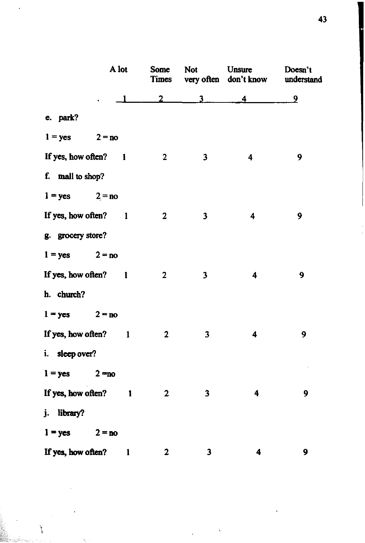|                      | A lot    | Some<br><b>Times</b> | <b>Not</b>              | Unsure<br>very often don't know | Doesn't<br>understand |  |
|----------------------|----------|----------------------|-------------------------|---------------------------------|-----------------------|--|
|                      |          | 2                    | 3                       | 4                               | $\overline{2}$        |  |
| e. park?             |          |                      |                         |                                 |                       |  |
| $1 = yes$ $2 = no$   |          |                      |                         |                                 |                       |  |
| If yes, how often? 1 |          | $\overline{2}$       | $\overline{\mathbf{3}}$ | 4                               | 9                     |  |
| f. mall to shop?     |          |                      |                         |                                 |                       |  |
| $1 = yes$            | $2 = no$ |                      |                         |                                 |                       |  |
| If yes, how often? 1 |          | $\overline{2}$       | $\overline{\mathbf{3}}$ | 4                               | 9                     |  |
| g. grocery store?    |          |                      |                         |                                 |                       |  |
| $1 = yes$ $2 = no$   |          |                      |                         |                                 |                       |  |
| If yes, how often? 1 |          | $\overline{2}$       | 3                       | $\overline{\mathbf{4}}$         | 9                     |  |
| h. church?           |          |                      |                         |                                 |                       |  |
| $1 = ycs$            | $2 = no$ |                      |                         |                                 |                       |  |
| If yes, how often? 1 |          | $\mathbf{2}$         | 3                       | $\overline{\mathbf{4}}$         | 9                     |  |
| i. sleep over?       |          |                      |                         |                                 |                       |  |
| $1 = yes$            | $2 = no$ |                      |                         |                                 |                       |  |
| If yes, how often?   | 1        | $\mathbf{2}$         | 3                       | 4                               | 9                     |  |
| j. library?          |          |                      |                         |                                 |                       |  |
| $1 = yes$            | $2 = no$ |                      |                         |                                 |                       |  |
| If yes, how often?   | 1        | 2                    | 3                       | 4                               | 9                     |  |

نې<br>ا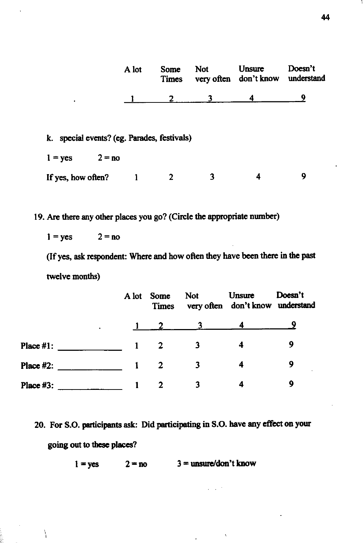|                                             | A lot    | Some<br>Times | <b>Not</b> | Unsure<br>very often don't know | Doesn't<br>understand |
|---------------------------------------------|----------|---------------|------------|---------------------------------|-----------------------|
| ٠                                           |          |               |            | 4                               | Q                     |
|                                             |          |               |            |                                 |                       |
| k. special events? (eg. Parades, festivals) |          |               |            |                                 |                       |
| $1 = yes$                                   | $2 = no$ |               |            |                                 |                       |

If yes, how often?  $1 \t 2 \t 3 \t 4$  $\overline{9}$ 

19. **Are** there any other places you go? (Circle the appropriate number)

$$
1 = yes \qquad 2 = no
$$

Ņ

(If yes, ask respondent: Where and how often they have been there in the past twelve months)

|                  | A lot | <b>Some</b><br><b>Times</b> | <b>Not</b> | Unsure<br>very often don't know understand | Doesn't |
|------------------|-------|-----------------------------|------------|--------------------------------------------|---------|
|                  |       |                             |            |                                            | ω       |
| <b>Place #1:</b> |       |                             |            | 4                                          | 9       |
| Place #2:        |       |                             |            | Δ                                          | 9       |
| <b>Place #3:</b> |       | 2                           |            |                                            | 9       |

20. For **S.O.** participants **ask:** Did participating in **S.O.** have **any effect** on your **going out to** these **ph?** 

 $1 = yes$  **2 = no**  $3 =$  **unsure/don't know**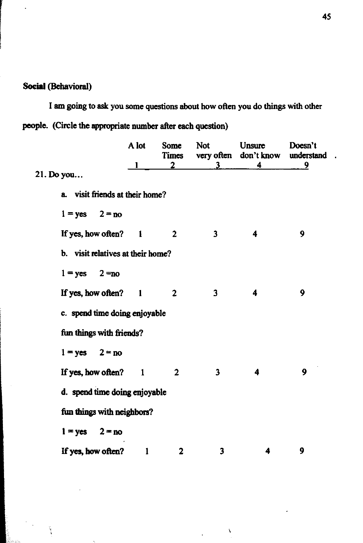## Social (Behavioral)

**I am going to ask you some questions about how often you do things with other people.** (Circle the appropriate number after each question)

|            |                                   | A lot | Some<br>Times  | <b>Not</b>              | Unsure<br>very often don't know | Doesn't<br>understand |  |
|------------|-----------------------------------|-------|----------------|-------------------------|---------------------------------|-----------------------|--|
| 21. Do you |                                   |       | $\overline{2}$ | 3                       | 4                               | 9                     |  |
|            | a. visit friends at their home?   |       |                |                         |                                 |                       |  |
|            | $1 = yes$ $2 = no$                |       |                |                         |                                 |                       |  |
|            | If yes, how often? 1              |       | $\overline{2}$ | $\overline{\mathbf{3}}$ | $\overline{\mathbf{4}}$         | 9                     |  |
|            | b. visit relatives at their home? |       |                |                         |                                 |                       |  |
|            | $1 = yes$ $2 = no$                |       |                |                         |                                 |                       |  |
|            | If yes, how often? 1              |       | $\overline{2}$ | 3                       | 4                               | 9                     |  |
|            | c. spend time doing enjoyable     |       |                |                         |                                 |                       |  |
|            | fun things with friends?          |       |                |                         |                                 |                       |  |
|            | $1 = yes$ $2 = no$                |       |                |                         |                                 |                       |  |
|            | If yes, how often? 1              |       | $\overline{2}$ | $\overline{\mathbf{3}}$ | 4                               | 9                     |  |
|            | d. spend time doing enjoyable     |       |                |                         |                                 |                       |  |
|            | fun things with neighbors?        |       |                |                         |                                 |                       |  |
|            | $1 = yes$<br>$2 = no$             |       |                |                         |                                 |                       |  |
|            | If yes, how often?                | 1     | $\mathbf{2}$   | 3                       | 4                               | 9                     |  |

 $\bar{\lambda}$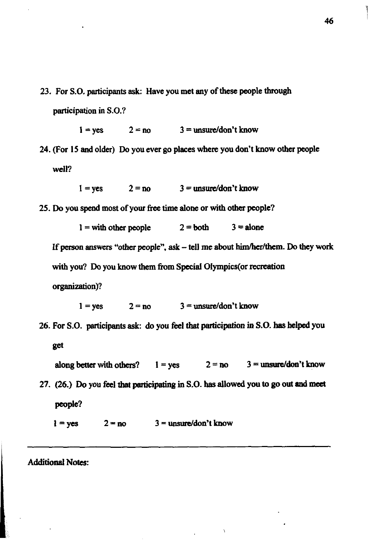23. For S.O. participants **ask:** Have you met any of these people through participation in S.O.?

```
1 = \text{ves} 2 = \text{no} 3 = \text{unsure}/\text{don't know}
```
24. (For 15 and older) Do you ever go places **where** you don't know other people well?

 $1 = \text{ves}$   $2 = \text{no}$   $3 = \text{unsure}/\text{don't}$  know

25. Do you spend most of your free time alone or with other people?

 $1 =$  with other people  $2 =$  both  $3 =$  alone

If person answers "other people", ask - tell me about him/her/them. Do they work with you? Do you know them from Special OIympics(or recreation organization)?

 $1 = \text{ves}$  2 = no 3 = unsure/don't know

26. For S.O. participants ask: do you feel that participation in S.O. has helped you get

```
along better with others? 1 = \text{yes} 2 = \text{no} 3 = \text{unsure}/\text{don't} know
27. (26.) Do you feel that participating in S.O. has allowed you to go out and meet
    people?
```
 $1 = yes$   $2 = no$   $3 =$  unsure/don't know

**Additional Notes:**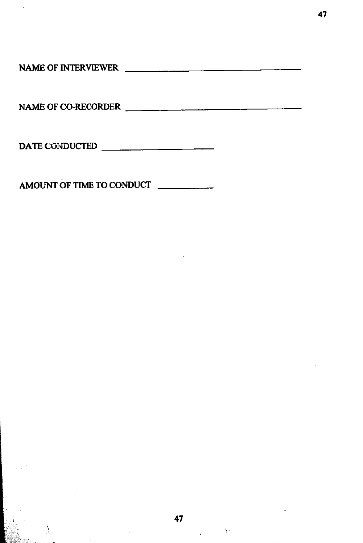**NAME OF INTERVIEWER** 

47

1 I **NAME OF CO-RECORDER** 

**DATE CONDUCTED** 

**AMOUNT OF TIME TO CONDUCT** 

 $\frac{1}{2}$  ,  $\frac{1}{2}$  ,  $\frac{1}{2}$  ,  $\frac{1}{2}$ 

 $\frac{1}{2}$ 

AN.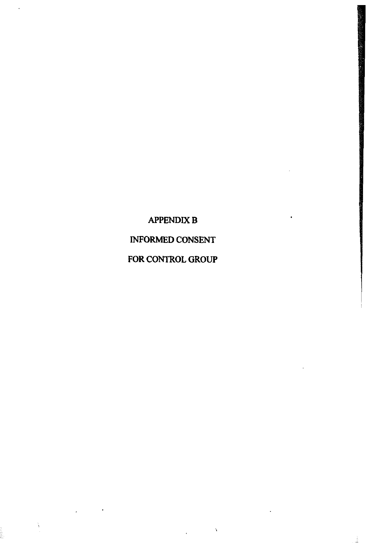# **APPENDIX B INFORMED CONSENT FOR CONTROL GROUP**

Ň

 $\ddot{\phantom{a}}$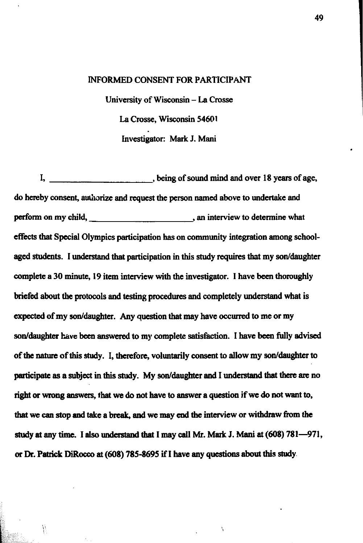#### INFORMED CONSENT FOR PARTICIPANT

University of Wisconsin - La Crosse La Crosse, Wisconsin 54601 Investigator: **Mark** J. Mani

1, being of sound mind and over 18 years of age, do hereby consent, authorize **and request** the person named above to undertake and perform on my child, subset of the state of the state of the state of the state of the state of the state of the state of the state of the state of the state of the state of the state of the state of the state of the state effects **that** Special Olympics participation has on community integration among schoolaged students. I understand that participation in this study requires that my son/daughter complete a **30 minute,** 19 item interview with the investigator. I have been thoroughly briefed about **the** protocols and **testing** procedures **and** completely **understand** what is **expected** of my **soddaughter.** Any question **that** may have **occurred** to me or my **soddaughter have been answered** to my complete satisfaction. I have been fully advised of the **nature** of **this study.** I, thefore, voluntarily consent to allow my **soddaughter to**  perticipate **as** a subject in this study. My **soddaughter and** I **understand that** there **arc** no right **or** wrong *auswers,* that **we** do not have to **answer** a quation if **we** do not want **to, that** we can stop and take a **break, and** we may **end the** interview or withdraw hm **the**  study at any time. I also understand that I may call Mr. Mark J. Mani at (608) 781-971, **or** Dr. **Patrick DiRocco at** (608) 785-8695 if I have any questions about **this** study.

Ÿ.